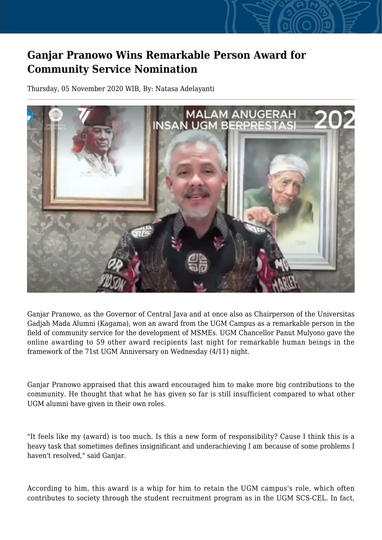## **Ganjar Pranowo Wins Remarkable Person Award for Community Service Nomination**

Thursday, 05 November 2020 WIB, By: Natasa Adelayanti



Ganjar Pranowo, as the Governor of Central Java and at once also as Chairperson of the Universitas Gadjah Mada Alumni (Kagama), won an award from the UGM Campus as a remarkable person in the field of community service for the development of MSMEs. UGM Chancellor Panut Mulyono gave the online awarding to 59 other award recipients last night for remarkable human beings in the framework of the 71st UGM Anniversary on Wednesday (4/11) night.

Ganjar Pranowo appraised that this award encouraged him to make more big contributions to the community. He thought that what he has given so far is still insufficient compared to what other UGM alumni have given in their own roles.

"It feels like my (award) is too much. Is this a new form of responsibility? Cause I think this is a heavy task that sometimes defines insignificant and underachieving I am because of some problems I haven't resolved," said Ganjar.

According to him, this award is a whip for him to retain the UGM campus's role, which often contributes to society through the student recruitment program as in the UGM SCS-CEL. In fact,